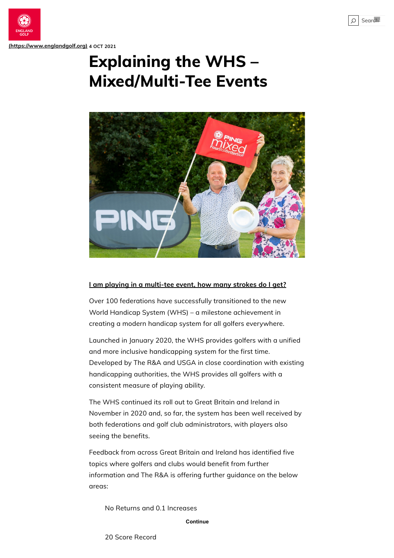

**4 OCT 2021 [\(https://www.englandgolf.org\)](https://www.englandgolf.org/)**

# **Explaining the WHS – Mixed/Multi-Tee Events**



#### **I am playing in a multi-tee event, how many strokes do I get?**

Over 100 federations have successfully transitioned to the new World Handicap System (WHS) – a milestone achievement in creating a modern handicap system for all golfers everywhere.

Launched in January 2020, the WHS provides golfers with a unified and more inclusive handicapping system for the first time. Developed by The R&A and USGA in close coordination with existing handicapping authorities, the WHS provides all golfers with a consistent measure of playing ability.

The WHS continued its roll out to Great Britain and Ireland in November in 2020 and, so far, the system has been well received by both federations and golf club administrators, with players also seeing the benefits.

Feedback from across Great Britain and Ireland has identified five topics where golfers and clubs would benefit from further information and The R&A is offering further guidance on the below areas:

No Returns and 0.1 Increases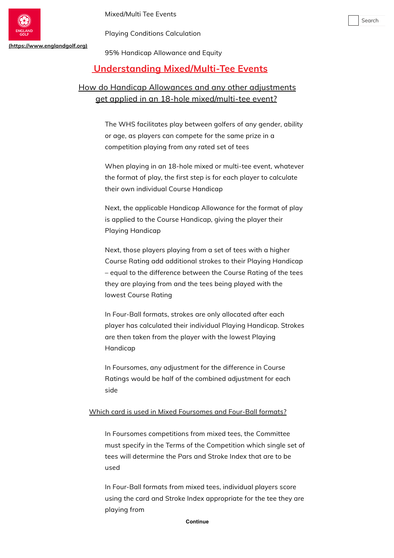

Mixed/Multi Tee Events

Playing Conditions Calculation

95% Handicap Allowance and Equity

Search

## **Understanding Mixed/Multi-Tee Events**

## How do Handicap Allowances and any other adjustments get applied in an 18-hole mixed/multi-tee event?

The WHS facilitates play between golfers of any gender, ability or age, as players can compete for the same prize in a competition playing from any rated set of tees

When playing in an 18-hole mixed or multi-tee event, whatever the format of play, the first step is for each player to calculate their own individual Course Handicap

Next, the applicable Handicap Allowance for the format of play is applied to the Course Handicap, giving the player their Playing Handicap

Next, those players playing from a set of tees with a higher Course Rating add additional strokes to their Playing Handicap – equal to the difference between the Course Rating of the tees they are playing from and the tees being played with the lowest Course Rating

In Four-Ball formats, strokes are only allocated after each player has calculated their individual Playing Handicap. Strokes are then taken from the player with the lowest Playing Handicap

In Foursomes, any adjustment for the difference in Course Ratings would be half of the combined adjustment for each side

### Which card is used in Mixed Foursomes and Four-Ball formats?

In Foursomes competitions from mixed tees, the Committee must specify in the Terms of the Competition which single set of tees will determine the Pars and Stroke Index that are to be used

In Four-Ball formats from mixed tees, individual players score using the card and Stroke Index appropriate for the tee they are playing from